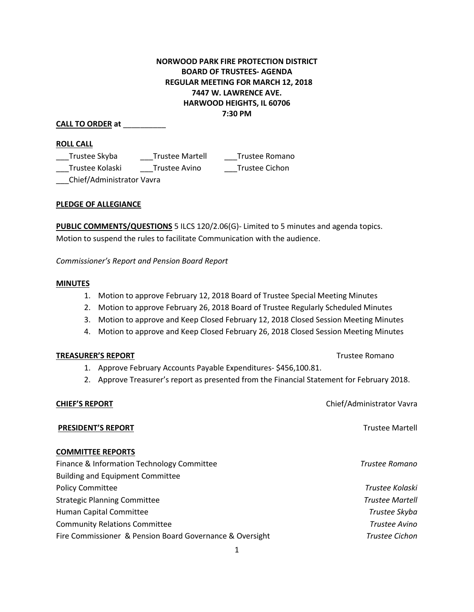# **NORWOOD PARK FIRE PROTECTION DISTRICT BOARD OF TRUSTEES- AGENDA REGULAR MEETING FOR MARCH 12, 2018 7447 W. LAWRENCE AVE. HARWOOD HEIGHTS, IL 60706 7:30 PM**

## **CALL TO ORDER at** \_\_\_\_\_\_\_\_\_\_

### **ROLL CALL**

| Trustee Skyba   | Trustee Martell | Trustee Romano |
|-----------------|-----------------|----------------|
| Trustee Kolaski | Trustee Avino   | Trustee Cichon |
|                 |                 |                |

\_\_\_Chief/Administrator Vavra

## **PLEDGE OF ALLEGIANCE**

**PUBLIC COMMENTS/QUESTIONS** 5 ILCS 120/2.06(G)- Limited to 5 minutes and agenda topics. Motion to suspend the rules to facilitate Communication with the audience.

*Commissioner's Report and Pension Board Report*

### **MINUTES**

- 1. Motion to approve February 12, 2018 Board of Trustee Special Meeting Minutes
- 2. Motion to approve February 26, 2018 Board of Trustee Regularly Scheduled Minutes
- 3. Motion to approve and Keep Closed February 12, 2018 Closed Session Meeting Minutes
- 4. Motion to approve and Keep Closed February 26, 2018 Closed Session Meeting Minutes

### **TREASURER'S REPORT** TREASURER'S REPORT

- 1. Approve February Accounts Payable Expenditures- \$456,100.81.
- 2. Approve Treasurer's report as presented from the Financial Statement for February 2018.

### **CHIEF'S REPORT** Chief/Administrator Vavra

**PRESIDENT'S REPORT** Trustee Martell

### **COMMITTEE REPORTS**

| Finance & Information Technology Committee               | Trustee Romano         |
|----------------------------------------------------------|------------------------|
| <b>Building and Equipment Committee</b>                  |                        |
| <b>Policy Committee</b>                                  | Trustee Kolaski        |
| <b>Strategic Planning Committee</b>                      | <b>Trustee Martell</b> |
| Human Capital Committee                                  | Trustee Skyba          |
| <b>Community Relations Committee</b>                     | Trustee Avino          |
| Fire Commissioner & Pension Board Governance & Oversight | Trustee Cichon         |